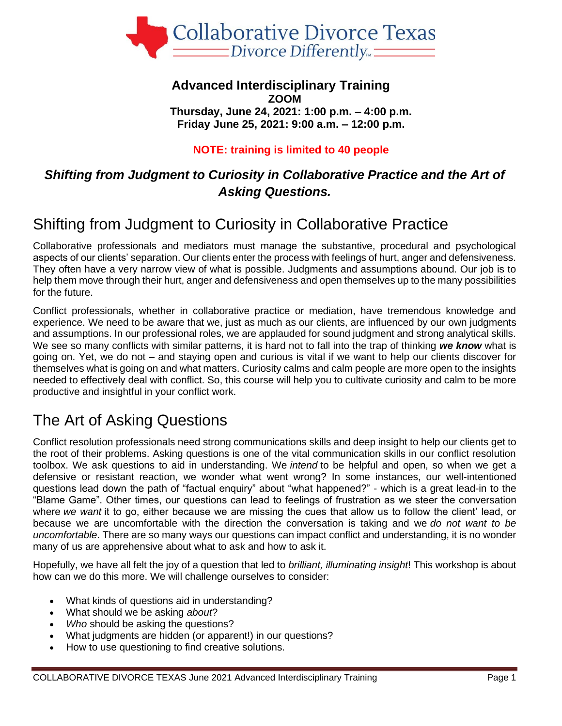

#### **Advanced Interdisciplinary Training ZOOM Thursday, June 24, 2021: 1:00 p.m. – 4:00 p.m. Friday June 25, 2021: 9:00 a.m. – 12:00 p.m.**

#### **NOTE: training is limited to 40 people**

### *Shifting from Judgment to Curiosity in Collaborative Practice and the Art of Asking Questions.*

# Shifting from Judgment to Curiosity in Collaborative Practice

Collaborative professionals and mediators must manage the substantive, procedural and psychological aspects of our clients' separation. Our clients enter the process with feelings of hurt, anger and defensiveness. They often have a very narrow view of what is possible. Judgments and assumptions abound. Our job is to help them move through their hurt, anger and defensiveness and open themselves up to the many possibilities for the future.

Conflict professionals, whether in collaborative practice or mediation, have tremendous knowledge and experience. We need to be aware that we, just as much as our clients, are influenced by our own judgments and assumptions. In our professional roles, we are applauded for sound judgment and strong analytical skills. We see so many conflicts with similar patterns, it is hard not to fall into the trap of thinking *we know* what is going on. Yet, we do not – and staying open and curious is vital if we want to help our clients discover for themselves what is going on and what matters. Curiosity calms and calm people are more open to the insights needed to effectively deal with conflict. So, this course will help you to cultivate curiosity and calm to be more productive and insightful in your conflict work.

# The Art of Asking Questions

Conflict resolution professionals need strong communications skills and deep insight to help our clients get to the root of their problems. Asking questions is one of the vital communication skills in our conflict resolution toolbox. We ask questions to aid in understanding. We *intend* to be helpful and open, so when we get a defensive or resistant reaction, we wonder what went wrong? In some instances, our well-intentioned questions lead down the path of "factual enquiry" about "what happened?" - which is a great lead-in to the "Blame Game". Other times, our questions can lead to feelings of frustration as we steer the conversation where *we want* it to go, either because we are missing the cues that allow us to follow the client' lead, or because we are uncomfortable with the direction the conversation is taking and we *do not want to be uncomfortable*. There are so many ways our questions can impact conflict and understanding, it is no wonder many of us are apprehensive about what to ask and how to ask it.

Hopefully, we have all felt the joy of a question that led to *brilliant, illuminating insight*! This workshop is about how can we do this more. We will challenge ourselves to consider:

- What kinds of questions aid in understanding?
- What should we be asking *about*?
- *Who* should be asking the questions?
- What judgments are hidden (or apparent!) in our questions?
- How to use questioning to find creative solutions.